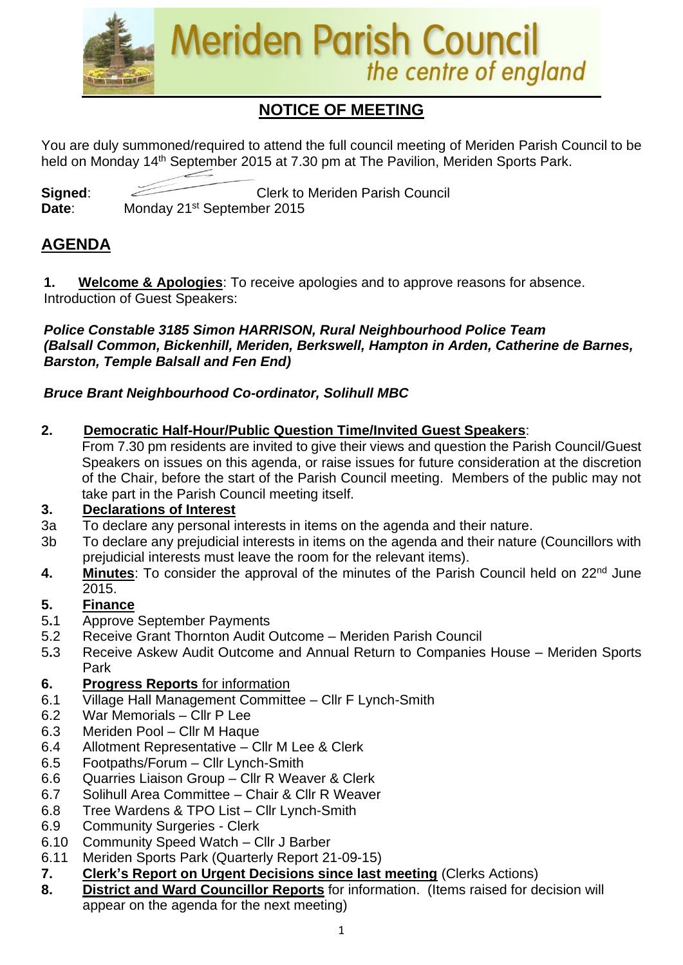

# **NOTICE OF MEETING**

You are duly summoned/required to attend the full council meeting of Meriden Parish Council to be held on Monday 14<sup>th</sup> September 2015 at 7.30 pm at The Pavilion, Meriden Sports Park.

**Signed:** Clerk to Meriden Parish Council Date: Monday 21<sup>st</sup> September 2015

# **AGENDA**

**1. Welcome & Apologies**: To receive apologies and to approve reasons for absence. Introduction of Guest Speakers:

#### *Police Constable 3185 Simon HARRISON, Rural Neighbourhood Police Team (Balsall Common, Bickenhill, Meriden, Berkswell, Hampton in Arden, Catherine de Barnes, Barston, Temple Balsall and Fen End)*

#### *Bruce Brant Neighbourhood Co-ordinator, Solihull MBC*

**2. Democratic Half-Hour/Public Question Time/Invited Guest Speakers**:

From 7.30 pm residents are invited to give their views and question the Parish Council/Guest Speakers on issues on this agenda, or raise issues for future consideration at the discretion of the Chair, before the start of the Parish Council meeting. Members of the public may not take part in the Parish Council meeting itself.

#### **3. Declarations of Interest**

- 3a To declare any personal interests in items on the agenda and their nature.
- 3b To declare any prejudicial interests in items on the agenda and their nature (Councillors with prejudicial interests must leave the room for the relevant items).
- 4. Minutes: To consider the approval of the minutes of the Parish Council held on 22<sup>nd</sup> June 2015.

#### **5. Finance**

- 5**.**1 Approve September Payments
- 5.2 Receive Grant Thornton Audit Outcome Meriden Parish Council
- 5**.**3 Receive Askew Audit Outcome and Annual Return to Companies House Meriden Sports Park

#### **6. Progress Reports** for information

- 6.1 Village Hall Management Committee Cllr F Lynch-Smith
- 6.2 War Memorials Cllr P Lee
- 6.3 Meriden Pool Cllr M Haque
- 6.4 Allotment Representative Cllr M Lee & Clerk
- 6.5 Footpaths/Forum Cllr Lynch-Smith
- 6.6 Quarries Liaison Group Cllr R Weaver & Clerk
- 6.7 Solihull Area Committee Chair & Cllr R Weaver
- 6.8 Tree Wardens & TPO List Cllr Lynch-Smith
- 6.9 Community Surgeries Clerk
- 6.10 Community Speed Watch Cllr J Barber
- 6.11 Meriden Sports Park (Quarterly Report 21-09-15)
- **7. Clerk's Report on Urgent Decisions since last meeting** (Clerks Actions)
- **8. District and Ward Councillor Reports** for information. (Items raised for decision will appear on the agenda for the next meeting)